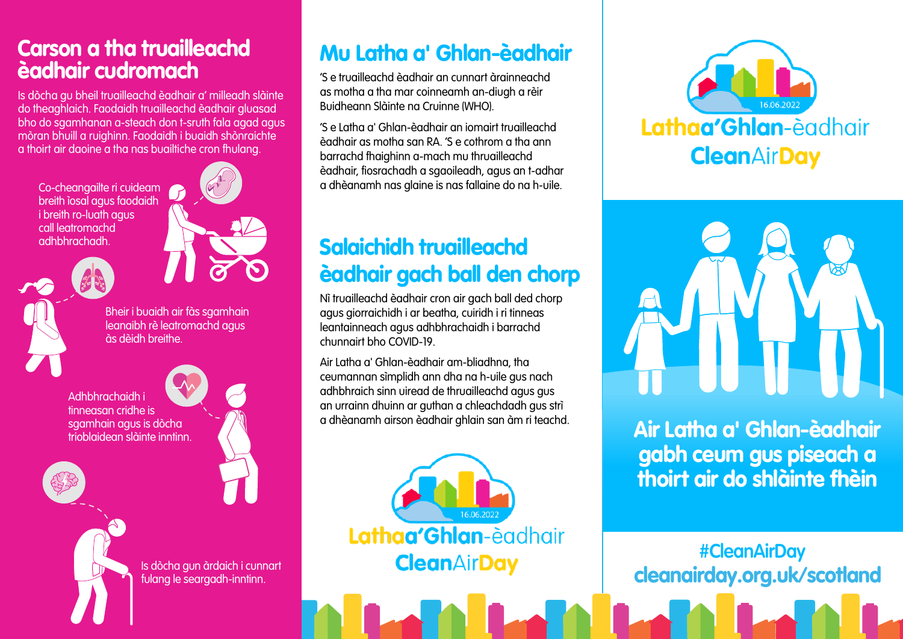## Carson a tha truailleachd èadhair cudromach

Is dòcha gu bheil truailleachd èadhair a' milleadh slàinte do theaghlaich. Faodaidh truailleachd èadhair gluasad bho do sgamhanan a-steach don t-sruth fala agad agus mòran bhuill a ruighinn. Faodaidh i buaidh shònraichte a thoirt air daoine a tha nas buailtiche cron fhulang.

Co-cheangailte ri cuideam breith ìosal agus faodaidh i breith ro-luath agus call leatromachd adhbhrachadh.



Bheir i buaidh air fàs sgamhain leanaibh rè leatromachd agus às dèidh breithe.

Adhbhrachaidh i tinneasan cridhe is sgamhain agus is dòcha trioblaidean slàinte inntinn.

> Is dòcha gun àrdaich i cunnart fulang le seargadh-inntinn.

Mu Latha a' Ghlan-èadhair

'S e truailleachd èadhair an cunnart àrainneachd as motha a tha mar coinneamh an-diugh a rèir Buidheann Slàinte na Cruinne (WHO).

'S e Latha a' Ghlan-èadhair an iomairt truailleachd èadhair as motha san RA. 'S e cothrom a tha ann barrachd fhaighinn a-mach mu thruailleachd èadhair, fiosrachadh a sgaoileadh, agus an t-adhar a dhèanamh nas glaine is nas fallaine do na h-uile.

# Salaichidh truailleachd èadhair gach ball den chorp

Nì truailleachd èadhair cron air gach ball ded chorp agus giorraichidh i ar beatha, cuiridh i ri tinneas leantainneach agus adhbhrachaidh i barrachd chunnairt bho COVID-19.

Air Latha a' Ghlan-èadhair am-bliadhna, tha ceumannan sìmplidh ann dha na h-uile gus nach adhbhraich sinn uiread de thruailleachd agus gus an urrainn dhuinn ar guthan a chleachdadh gus strì a dhèanamh airson èadhair ghlain san àm ri teachd.







Air Latha a' Ghlan-èadhair gabh ceum gus piseach a thoirt air do shlàinte fhèin

[cleanairday.org.uk/scotland](http://cleanairday.org.uk/scotland) **#CleanAirDay**